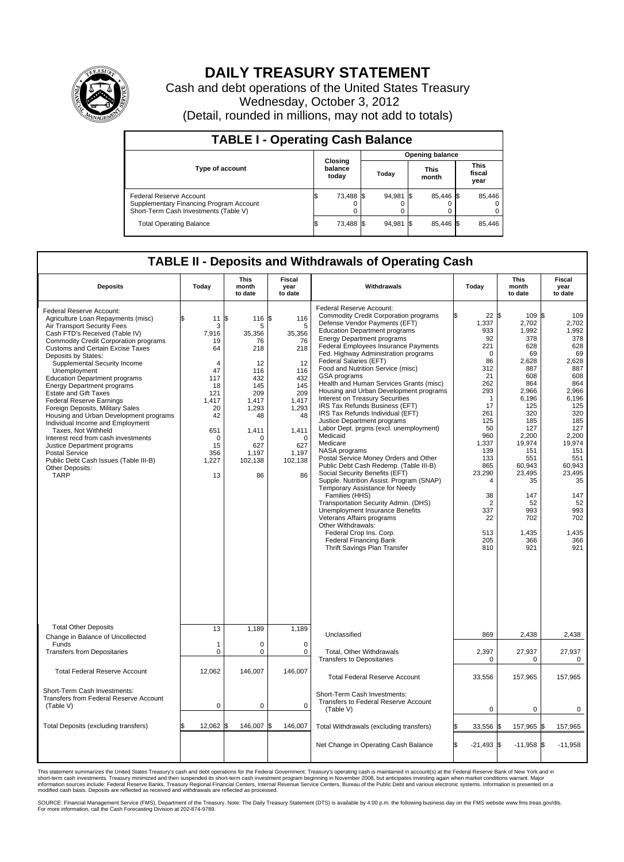

## **DAILY TREASURY STATEMENT**

Cash and debt operations of the United States Treasury Wednesday, October 3, 2012 (Detail, rounded in millions, may not add to totals)

| <b>TABLE I - Operating Cash Balance</b>                                                                     |                             |        |  |                               |  |                               |  |        |  |  |
|-------------------------------------------------------------------------------------------------------------|-----------------------------|--------|--|-------------------------------|--|-------------------------------|--|--------|--|--|
|                                                                                                             |                             |        |  | <b>Opening balance</b>        |  |                               |  |        |  |  |
| <b>Type of account</b>                                                                                      | Closing<br>balance<br>today |        |  | <b>This</b><br>Today<br>month |  | <b>This</b><br>fiscal<br>year |  |        |  |  |
| Federal Reserve Account<br>Supplementary Financing Program Account<br>Short-Term Cash Investments (Table V) | IΦ                          | 73,488 |  | 94,981                        |  | 85,446 \$<br>0                |  | 85,446 |  |  |
| <b>Total Operating Balance</b>                                                                              | IΦ                          | 73,488 |  | 94,981                        |  | 85.446 \$                     |  | 85,446 |  |  |

## **TABLE II - Deposits and Withdrawals of Operating Cash**

| <b>Deposits</b>                                                                                                                                                                                                                                                                                                                                                                                                                                                                                                                                                                                                                                                                                                                                               | Today                                                                                                                                        | <b>This</b><br>month<br>to date                                                                                                                     | Fiscal<br>year<br>to date                                                                                                                              | Withdrawals                                                                                                                                                                                                                                                                                                                                                                                                                                                                                                                                                                                                                                                                                                                                                                                                                                                                                                                                                                                                                                                                                                                 | Today                                                                                                                                                                                                                                                              | <b>This</b><br>month<br>to date                                                                                                                                                                                                         | <b>Fiscal</b><br>year<br>to date                                                                                                                                                                                                   |  |
|---------------------------------------------------------------------------------------------------------------------------------------------------------------------------------------------------------------------------------------------------------------------------------------------------------------------------------------------------------------------------------------------------------------------------------------------------------------------------------------------------------------------------------------------------------------------------------------------------------------------------------------------------------------------------------------------------------------------------------------------------------------|----------------------------------------------------------------------------------------------------------------------------------------------|-----------------------------------------------------------------------------------------------------------------------------------------------------|--------------------------------------------------------------------------------------------------------------------------------------------------------|-----------------------------------------------------------------------------------------------------------------------------------------------------------------------------------------------------------------------------------------------------------------------------------------------------------------------------------------------------------------------------------------------------------------------------------------------------------------------------------------------------------------------------------------------------------------------------------------------------------------------------------------------------------------------------------------------------------------------------------------------------------------------------------------------------------------------------------------------------------------------------------------------------------------------------------------------------------------------------------------------------------------------------------------------------------------------------------------------------------------------------|--------------------------------------------------------------------------------------------------------------------------------------------------------------------------------------------------------------------------------------------------------------------|-----------------------------------------------------------------------------------------------------------------------------------------------------------------------------------------------------------------------------------------|------------------------------------------------------------------------------------------------------------------------------------------------------------------------------------------------------------------------------------|--|
| Federal Reserve Account:<br>Agriculture Loan Repayments (misc)<br>Air Transport Security Fees<br>Cash FTD's Received (Table IV)<br><b>Commodity Credit Corporation programs</b><br>Customs and Certain Excise Taxes<br>Deposits by States:<br>Supplemental Security Income<br>Unemployment<br><b>Education Department programs</b><br><b>Energy Department programs</b><br><b>Estate and Gift Taxes</b><br><b>Federal Reserve Earnings</b><br>Foreign Deposits, Military Sales<br>Housing and Urban Development programs<br>Individual Income and Employment<br>Taxes, Not Withheld<br>Interest recd from cash investments<br>Justice Department programs<br><b>Postal Service</b><br>Public Debt Cash Issues (Table III-B)<br>Other Deposits:<br><b>TARP</b> | 11<br>3<br>7,916<br>19<br>64<br>$\overline{4}$<br>47<br>117<br>18<br>121<br>1,417<br>20<br>42<br>651<br>$\Omega$<br>15<br>356<br>1,227<br>13 | ß.<br>116<br>5<br>35,356<br>76<br>218<br>12<br>116<br>432<br>145<br>209<br>1,417<br>1,293<br>48<br>1,411<br>$\cap$<br>627<br>1,197<br>102,138<br>86 | l\$<br>116<br>5<br>35,356<br>76<br>218<br>12<br>116<br>432<br>145<br>209<br>1,417<br>1,293<br>48<br>1,411<br>$\Omega$<br>627<br>1,197<br>102,138<br>86 | Federal Reserve Account:<br><b>Commodity Credit Corporation programs</b><br>Defense Vendor Payments (EFT)<br><b>Education Department programs</b><br><b>Energy Department programs</b><br>Federal Employees Insurance Payments<br>Fed. Highway Administration programs<br>Federal Salaries (EFT)<br>Food and Nutrition Service (misc)<br>GSA programs<br>Health and Human Services Grants (misc)<br>Housing and Urban Development programs<br><b>Interest on Treasury Securities</b><br>IRS Tax Refunds Business (EFT)<br>IRS Tax Refunds Individual (EFT)<br>Justice Department programs<br>Labor Dept. prgms (excl. unemployment)<br>Medicaid<br>Medicare<br>NASA programs<br>Postal Service Money Orders and Other<br>Public Debt Cash Redemp. (Table III-B)<br>Social Security Benefits (EFT)<br>Supple. Nutrition Assist. Program (SNAP)<br>Temporary Assistance for Needy<br>Families (HHS)<br>Transportation Security Admin. (DHS)<br>Unemployment Insurance Benefits<br>Veterans Affairs programs<br>Other Withdrawals:<br>Federal Crop Ins. Corp.<br><b>Federal Financing Bank</b><br>Thrift Savings Plan Transfer | $22 \text{ }$ \$<br>1,337<br>933<br>92<br>221<br>$\mathbf 0$<br>86<br>312<br>21<br>262<br>293<br>$\mathbf{1}$<br>17<br>261<br>125<br>50<br>960<br>1,337<br>139<br>133<br>865<br>23,290<br>$\overline{4}$<br>38<br>$\overline{2}$<br>337<br>22<br>513<br>205<br>810 | $109$ \$<br>2,702<br>1,992<br>378<br>628<br>69<br>2,628<br>887<br>608<br>864<br>2,966<br>6.196<br>125<br>320<br>185<br>127<br>2,200<br>19,974<br>151<br>551<br>60.943<br>23.495<br>35<br>147<br>52<br>993<br>702<br>1,435<br>366<br>921 | 109<br>2,702<br>1,992<br>378<br>628<br>69<br>2,628<br>887<br>608<br>864<br>2,966<br>6,196<br>125<br>320<br>185<br>127<br>2,200<br>19,974<br>151<br>551<br>60,943<br>23,495<br>35<br>147<br>52<br>993<br>702<br>1,435<br>366<br>921 |  |
| <b>Total Other Deposits</b><br>Change in Balance of Uncollected                                                                                                                                                                                                                                                                                                                                                                                                                                                                                                                                                                                                                                                                                               | 13                                                                                                                                           | 1.189                                                                                                                                               | 1,189                                                                                                                                                  | Unclassified                                                                                                                                                                                                                                                                                                                                                                                                                                                                                                                                                                                                                                                                                                                                                                                                                                                                                                                                                                                                                                                                                                                | 869                                                                                                                                                                                                                                                                | 2,438                                                                                                                                                                                                                                   | 2,438                                                                                                                                                                                                                              |  |
| Funds<br><b>Transfers from Depositaries</b>                                                                                                                                                                                                                                                                                                                                                                                                                                                                                                                                                                                                                                                                                                                   | 1<br>0                                                                                                                                       | 0<br>$\mathbf 0$                                                                                                                                    | $\mathbf 0$<br>$\mathbf 0$                                                                                                                             | Total, Other Withdrawals                                                                                                                                                                                                                                                                                                                                                                                                                                                                                                                                                                                                                                                                                                                                                                                                                                                                                                                                                                                                                                                                                                    | 2,397                                                                                                                                                                                                                                                              | 27,937                                                                                                                                                                                                                                  | 27,937                                                                                                                                                                                                                             |  |
|                                                                                                                                                                                                                                                                                                                                                                                                                                                                                                                                                                                                                                                                                                                                                               |                                                                                                                                              |                                                                                                                                                     |                                                                                                                                                        | <b>Transfers to Depositaries</b>                                                                                                                                                                                                                                                                                                                                                                                                                                                                                                                                                                                                                                                                                                                                                                                                                                                                                                                                                                                                                                                                                            | $\mathbf 0$                                                                                                                                                                                                                                                        | 0                                                                                                                                                                                                                                       | $\mathbf 0$                                                                                                                                                                                                                        |  |
| <b>Total Federal Reserve Account</b>                                                                                                                                                                                                                                                                                                                                                                                                                                                                                                                                                                                                                                                                                                                          | 12,062                                                                                                                                       | 146,007                                                                                                                                             | 146,007                                                                                                                                                | <b>Total Federal Reserve Account</b>                                                                                                                                                                                                                                                                                                                                                                                                                                                                                                                                                                                                                                                                                                                                                                                                                                                                                                                                                                                                                                                                                        | 33,556                                                                                                                                                                                                                                                             | 157,965                                                                                                                                                                                                                                 | 157,965                                                                                                                                                                                                                            |  |
| Short-Term Cash Investments:<br>Transfers from Federal Reserve Account<br>(Table V)                                                                                                                                                                                                                                                                                                                                                                                                                                                                                                                                                                                                                                                                           | $\mathbf 0$                                                                                                                                  | $\pmb{0}$                                                                                                                                           | $\mathbf 0$                                                                                                                                            | Short-Term Cash Investments:<br>Transfers to Federal Reserve Account<br>(Table V)                                                                                                                                                                                                                                                                                                                                                                                                                                                                                                                                                                                                                                                                                                                                                                                                                                                                                                                                                                                                                                           | $\mathbf 0$                                                                                                                                                                                                                                                        | 0                                                                                                                                                                                                                                       | 0                                                                                                                                                                                                                                  |  |
| Total Deposits (excluding transfers)                                                                                                                                                                                                                                                                                                                                                                                                                                                                                                                                                                                                                                                                                                                          | 12,062                                                                                                                                       | 146.007<br>ß.                                                                                                                                       | 146,007                                                                                                                                                | Total Withdrawals (excluding transfers)                                                                                                                                                                                                                                                                                                                                                                                                                                                                                                                                                                                                                                                                                                                                                                                                                                                                                                                                                                                                                                                                                     | 33,556                                                                                                                                                                                                                                                             | 157,965 \$                                                                                                                                                                                                                              | 157,965                                                                                                                                                                                                                            |  |
|                                                                                                                                                                                                                                                                                                                                                                                                                                                                                                                                                                                                                                                                                                                                                               |                                                                                                                                              |                                                                                                                                                     |                                                                                                                                                        | Net Change in Operating Cash Balance                                                                                                                                                                                                                                                                                                                                                                                                                                                                                                                                                                                                                                                                                                                                                                                                                                                                                                                                                                                                                                                                                        | l\$<br>$-21,493$ \$                                                                                                                                                                                                                                                | $-11,958$ \$                                                                                                                                                                                                                            | $-11,958$                                                                                                                                                                                                                          |  |

This statement summarizes the United States Treasury's cash and debt operations for the Federal Government. Treasury's operating cash is maintained in account(s) at the Federal Reserve Bank of New York and in<br>short-term ca

SOURCE: Financial Management Service (FMS), Department of the Treasury. Note: The Daily Treasury Statement (DTS) is available by 4:00 p.m. the following business day on the FMS website www.fms.treas.gov/dts.<br>For more infor